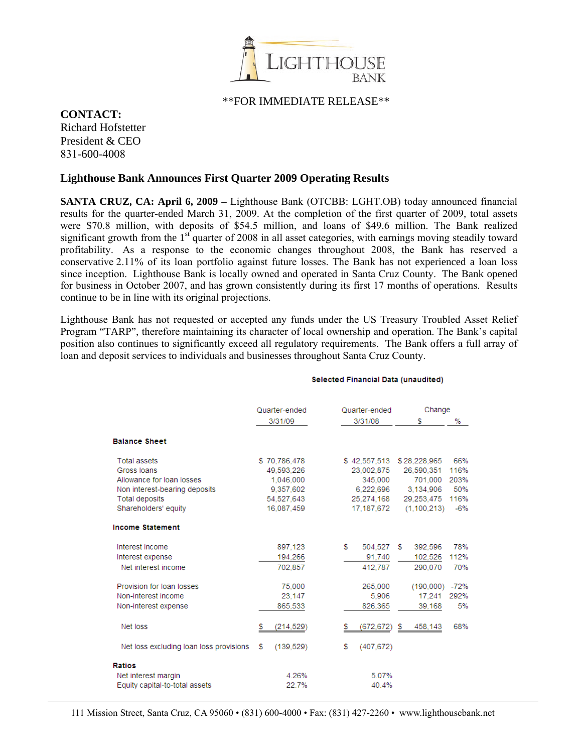

## \*\*FOR IMMEDIATE RELEASE\*\*

## **CONTACT:**

Richard Hofstetter President & CEO 831-600-4008

## **Lighthouse Bank Announces First Quarter 2009 Operating Results**

**SANTA CRUZ, CA: April 6, 2009 –** Lighthouse Bank (OTCBB: LGHT.OB) today announced financial results for the quarter-ended March 31, 2009. At the completion of the first quarter of 2009, total assets were \$70.8 million, with deposits of \$54.5 million, and loans of \$49.6 million. The Bank realized significant growth from the  $1<sup>st</sup>$  quarter of 2008 in all asset categories, with earnings moving steadily toward profitability. As a response to the economic changes throughout 2008, the Bank has reserved a conservative 2.11% of its loan portfolio against future losses. The Bank has not experienced a loan loss since inception. Lighthouse Bank is locally owned and operated in Santa Cruz County. The Bank opened for business in October 2007, and has grown consistently during its first 17 months of operations. Results continue to be in line with its original projections.

Lighthouse Bank has not requested or accepted any funds under the US Treasury Troubled Asset Relief Program "TARP", therefore maintaining its character of local ownership and operation. The Bank's capital position also continues to significantly exceed all regulatory requirements. The Bank offers a full array of loan and deposit services to individuals and businesses throughout Santa Cruz County.

| Quarter-ended<br>3/31/09 | Quarter-ended  | Change        |        |
|--------------------------|----------------|---------------|--------|
|                          | 3/31/08        | s             | %      |
|                          |                |               |        |
| \$70,786,478             | \$42,557,513   | \$28,228,965  | 66%    |
| 49.593.226               | 23.002.875     | 26.590.351    | 116%   |
| 1.046.000                | 345,000        | 701.000       | 203%   |
| 9.357,602                | 6,222,696      | 3.134.906     | 50%    |
| 54.527.643               | 25.274.168     | 29.253.475    | 116%   |
| 16.087.459               | 17.187.672     | (1.100.213)   | $-6%$  |
|                          |                |               |        |
| 897.123                  | s.<br>504.527  | 392,596<br>s. | 78%    |
| 194.266                  | 91.740         | 102.526       | 112%   |
| 702.857                  | 412.787        | 290.070       | 70%    |
| 75,000                   | 265.000        | (190,000)     | $-72%$ |
| 23,147                   | 5,906          | 17.241        | 292%   |
| 865,533                  | 826,365        | 39,168        | 5%     |
| (214,529)<br>s.          | (672,672)<br>s | 458,143       | 68%    |
| s<br>(139, 529)          | s<br>(407.672) |               |        |
|                          |                |               |        |
| 4.26%                    | 5.07%          |               |        |
| 22.7%                    | 40.4%          |               |        |
|                          |                |               | S.     |

## Selected Financial Data (unaudited)